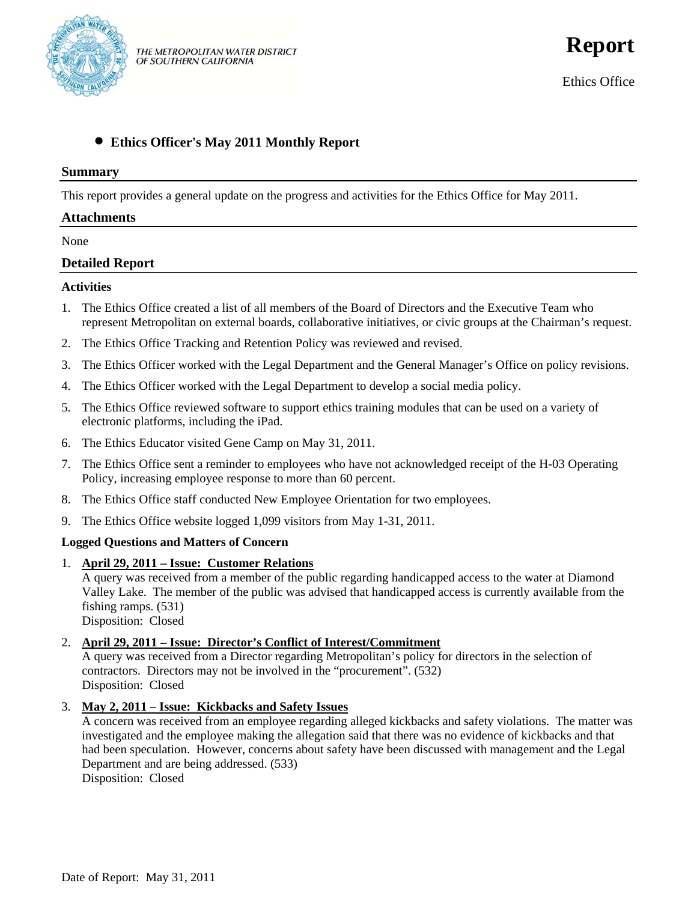

# • **Ethics Officer's May 2011 Monthly Report**

#### **Summary**

This report provides a general update on the progress and activities for the Ethics Office for May 2011.

### **Attachments**

None

# **Detailed Report**

#### **Activities**

- 1. The Ethics Office created a list of all members of the Board of Directors and the Executive Team who represent Metropolitan on external boards, collaborative initiatives, or civic groups at the Chairman's request.
- 2. The Ethics Office Tracking and Retention Policy was reviewed and revised.
- 3. The Ethics Officer worked with the Legal Department and the General Manager's Office on policy revisions.
- 4. The Ethics Officer worked with the Legal Department to develop a social media policy.
- 5. The Ethics Office reviewed software to support ethics training modules that can be used on a variety of electronic platforms, including the iPad.
- 6. The Ethics Educator visited Gene Camp on May 31, 2011.
- 7. The Ethics Office sent a reminder to employees who have not acknowledged receipt of the H-03 Operating Policy, increasing employee response to more than 60 percent.
- 8. The Ethics Office staff conducted New Employee Orientation for two employees.
- 9. The Ethics Office website logged 1,099 visitors from May 1-31, 2011.

### **Logged Questions and Matters of Concern**

1. **April 29, 2011 – Issue: Customer Relations**

A query was received from a member of the public regarding handicapped access to the water at Diamond Valley Lake. The member of the public was advised that handicapped access is currently available from the fishing ramps. (531) Disposition: Closed

### 2. **April 29, 2011 – Issue: Director's Conflict of Interest/Commitment**

A query was received from a Director regarding Metropolitan's policy for directors in the selection of contractors. Directors may not be involved in the "procurement". (532) Disposition: Closed

3. **May 2, 2011 – Issue: Kickbacks and Safety Issues**

A concern was received from an employee regarding alleged kickbacks and safety violations. The matter was investigated and the employee making the allegation said that there was no evidence of kickbacks and that had been speculation. However, concerns about safety have been discussed with management and the Legal Department and are being addressed. (533)

Disposition: Closed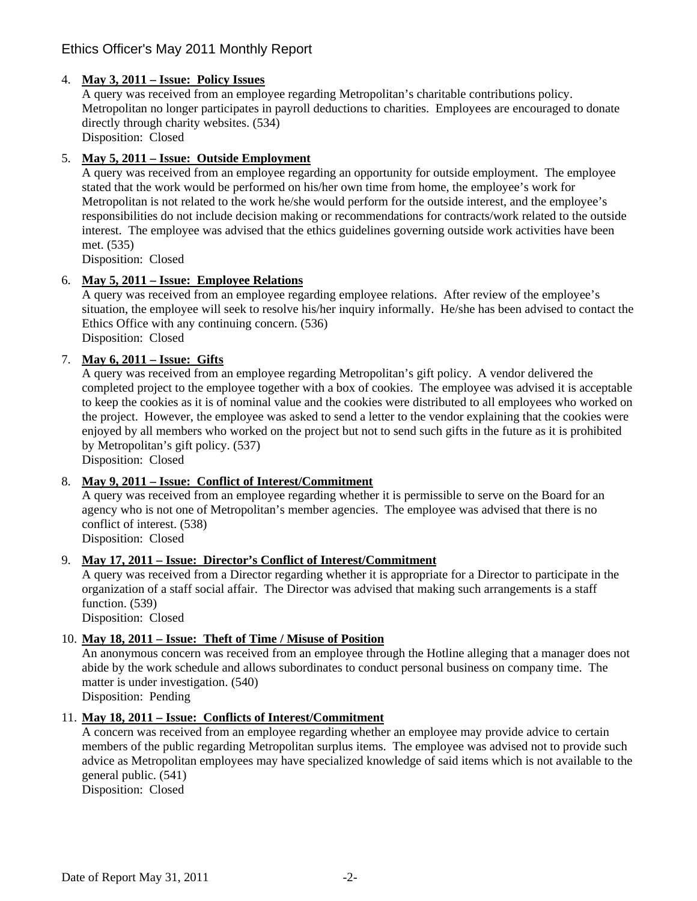# Ethics Officer's May 2011 Monthly Report

# 4. **May 3, 2011 – Issue: Policy Issues**

A query was received from an employee regarding Metropolitan's charitable contributions policy. Metropolitan no longer participates in payroll deductions to charities. Employees are encouraged to donate directly through charity websites. (534) Disposition: Closed

# 5. **May 5, 2011 – Issue: Outside Employment**

A query was received from an employee regarding an opportunity for outside employment. The employee stated that the work would be performed on his/her own time from home, the employee's work for Metropolitan is not related to the work he/she would perform for the outside interest, and the employee's responsibilities do not include decision making or recommendations for contracts/work related to the outside interest. The employee was advised that the ethics guidelines governing outside work activities have been met. (535)

Disposition: Closed

# 6. **May 5, 2011 – Issue: Employee Relations**

A query was received from an employee regarding employee relations. After review of the employee's situation, the employee will seek to resolve his/her inquiry informally. He/she has been advised to contact the Ethics Office with any continuing concern. (536) Disposition: Closed

# 7. **May 6, 2011 – Issue: Gifts**

A query was received from an employee regarding Metropolitan's gift policy. A vendor delivered the completed project to the employee together with a box of cookies. The employee was advised it is acceptable to keep the cookies as it is of nominal value and the cookies were distributed to all employees who worked on the project. However, the employee was asked to send a letter to the vendor explaining that the cookies were enjoyed by all members who worked on the project but not to send such gifts in the future as it is prohibited by Metropolitan's gift policy. (537)

Disposition: Closed

### 8. **May 9, 2011 – Issue: Conflict of Interest/Commitment**

A query was received from an employee regarding whether it is permissible to serve on the Board for an agency who is not one of Metropolitan's member agencies. The employee was advised that there is no conflict of interest. (538)

Disposition: Closed

# 9. **May 17, 2011 – Issue: Director's Conflict of Interest/Commitment**

A query was received from a Director regarding whether it is appropriate for a Director to participate in the organization of a staff social affair. The Director was advised that making such arrangements is a staff function. (539)

Disposition: Closed

### 10. **May 18, 2011 – Issue: Theft of Time / Misuse of Position**

An anonymous concern was received from an employee through the Hotline alleging that a manager does not abide by the work schedule and allows subordinates to conduct personal business on company time. The matter is under investigation. (540)

Disposition: Pending

### 11. **May 18, 2011 – Issue: Conflicts of Interest/Commitment**

A concern was received from an employee regarding whether an employee may provide advice to certain members of the public regarding Metropolitan surplus items. The employee was advised not to provide such advice as Metropolitan employees may have specialized knowledge of said items which is not available to the general public. (541)

Disposition: Closed